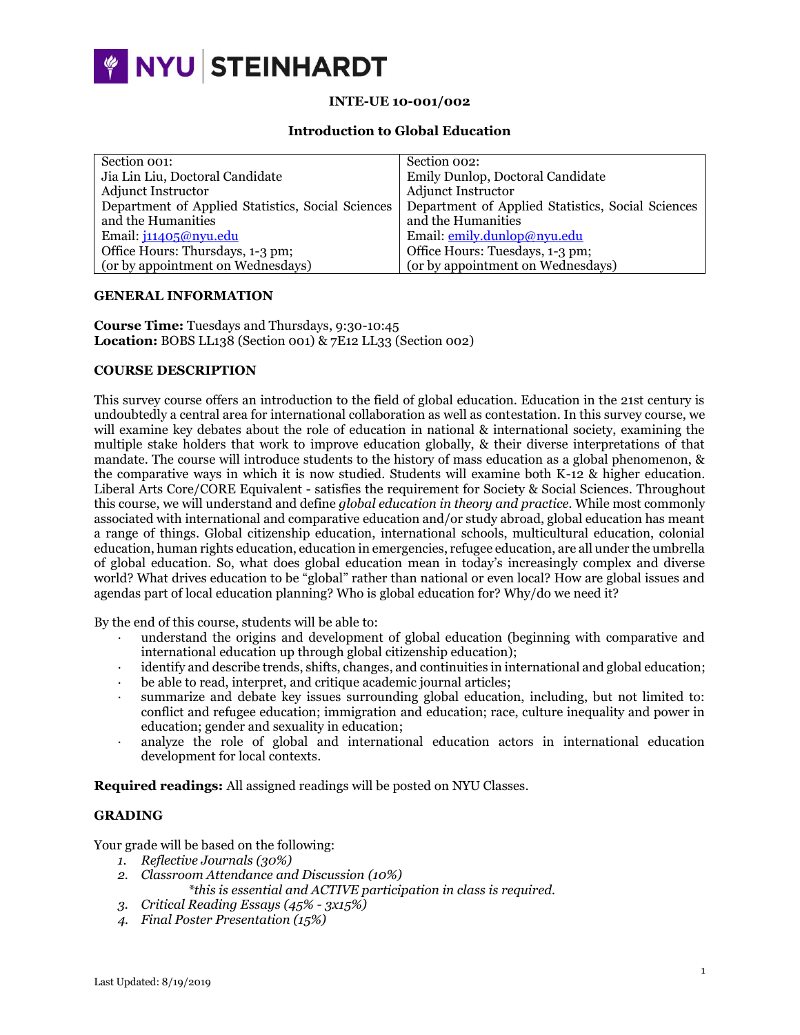

# **INTE-UE 10-001/002**

## **Introduction to Global Education**

| Section 001:                                      | Section 002:                                      |
|---------------------------------------------------|---------------------------------------------------|
| Jia Lin Liu, Doctoral Candidate                   | Emily Dunlop, Doctoral Candidate                  |
| <b>Adjunct Instructor</b>                         | <b>Adjunct Instructor</b>                         |
| Department of Applied Statistics, Social Sciences | Department of Applied Statistics, Social Sciences |
| and the Humanities                                | and the Humanities                                |
| Email: j11405@nyu.edu                             | Email: emily.dunlop@nyu.edu                       |
| Office Hours: Thursdays, 1-3 pm;                  | Office Hours: Tuesdays, 1-3 pm;                   |
| (or by appointment on Wednesdays)                 | (or by appointment on Wednesdays)                 |
|                                                   |                                                   |

#### **GENERAL INFORMATION**

**Course Time:** Tuesdays and Thursdays, 9:30-10:45 **Location:** BOBS LL138 (Section 001) & 7E12 LL33 (Section 002)

# **COURSE DESCRIPTION**

This survey course offers an introduction to the field of global education. Education in the 21st century is undoubtedly a central area for international collaboration as well as contestation. In this survey course, we will examine key debates about the role of education in national & international society, examining the multiple stake holders that work to improve education globally, & their diverse interpretations of that mandate. The course will introduce students to the history of mass education as a global phenomenon, & the comparative ways in which it is now studied. Students will examine both K-12 & higher education. Liberal Arts Core/CORE Equivalent - satisfies the requirement for Society & Social Sciences. Throughout this course, we will understand and define *global education in theory and practice.* While most commonly associated with international and comparative education and/or study abroad, global education has meant a range of things. Global citizenship education, international schools, multicultural education, colonial education, human rights education, education in emergencies, refugee education, are all under the umbrella of global education. So, what does global education mean in today's increasingly complex and diverse world? What drives education to be "global" rather than national or even local? How are global issues and agendas part of local education planning? Who is global education for? Why/do we need it?

By the end of this course, students will be able to:

- · understand the origins and development of global education (beginning with comparative and international education up through global citizenship education);
- identify and describe trends, shifts, changes, and continuities in international and global education;
- be able to read, interpret, and critique academic journal articles;
- · summarize and debate key issues surrounding global education, including, but not limited to: conflict and refugee education; immigration and education; race, culture inequality and power in education; gender and sexuality in education;
- · analyze the role of global and international education actors in international education development for local contexts.

**Required readings:** All assigned readings will be posted on NYU Classes.

# **GRADING**

Your grade will be based on the following:

- *1. Reflective Journals (30%)*
- *2. Classroom Attendance and Discussion (10%)*
- *\*this is essential and ACTIVE participation in class is required. 3. Critical Reading Essays (45% - 3x15%)*
- *4. Final Poster Presentation (15%)*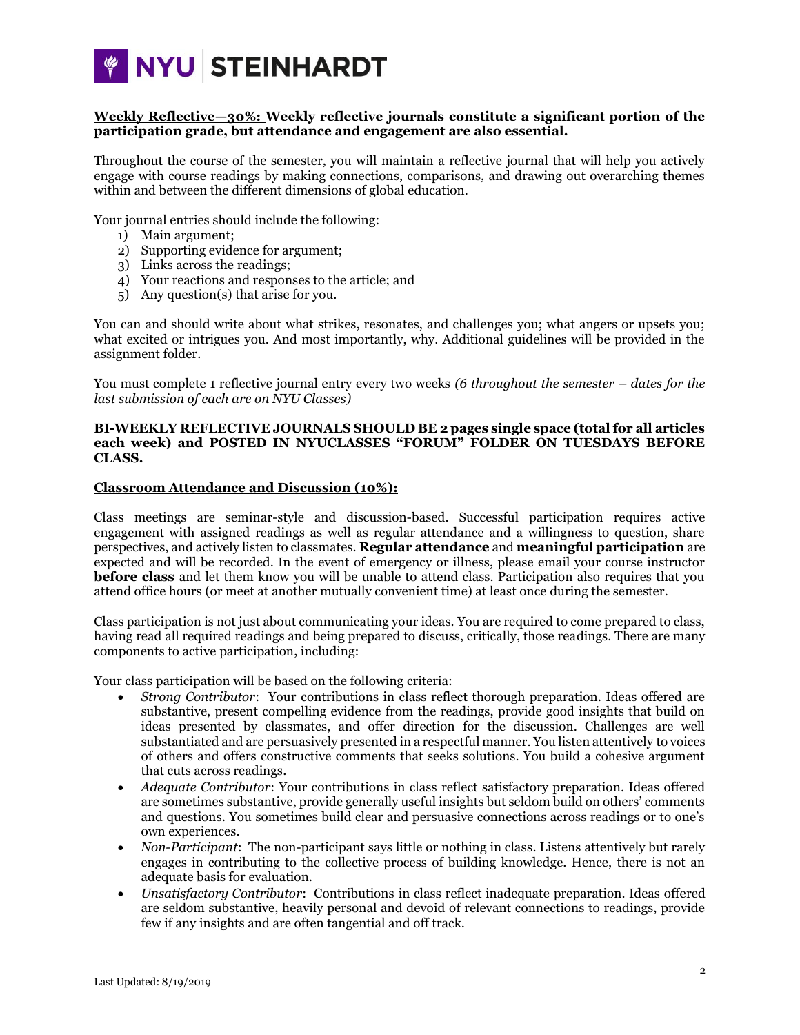

# **Weekly Reflective—30%: Weekly reflective journals constitute a significant portion of the participation grade, but attendance and engagement are also essential.**

Throughout the course of the semester, you will maintain a reflective journal that will help you actively engage with course readings by making connections, comparisons, and drawing out overarching themes within and between the different dimensions of global education.

Your journal entries should include the following:

- 1) Main argument;
- 2) Supporting evidence for argument;
- 3) Links across the readings;
- 4) Your reactions and responses to the article; and
- 5) Any question(s) that arise for you.

You can and should write about what strikes, resonates, and challenges you; what angers or upsets you; what excited or intrigues you. And most importantly, why. Additional guidelines will be provided in the assignment folder.

You must complete 1 reflective journal entry every two weeks *(6 throughout the semester – dates for the last submission of each are on NYU Classes)*

## **BI-WEEKLY REFLECTIVE JOURNALS SHOULD BE 2 pages single space (total for all articles each week) and POSTED IN NYUCLASSES "FORUM" FOLDER ON TUESDAYS BEFORE CLASS.**

#### **Classroom Attendance and Discussion (10%):**

Class meetings are seminar-style and discussion-based. Successful participation requires active engagement with assigned readings as well as regular attendance and a willingness to question, share perspectives, and actively listen to classmates. **Regular attendance** and **meaningful participation** are expected and will be recorded. In the event of emergency or illness, please email your course instructor **before class** and let them know you will be unable to attend class. Participation also requires that you attend office hours (or meet at another mutually convenient time) at least once during the semester.

Class participation is not just about communicating your ideas. You are required to come prepared to class, having read all required readings and being prepared to discuss, critically, those readings. There are many components to active participation, including:

Your class participation will be based on the following criteria:

- *Strong Contributor*: Your contributions in class reflect thorough preparation. Ideas offered are substantive, present compelling evidence from the readings, provide good insights that build on ideas presented by classmates, and offer direction for the discussion. Challenges are well substantiated and are persuasively presented in a respectful manner. You listen attentively to voices of others and offers constructive comments that seeks solutions. You build a cohesive argument that cuts across readings.
- *Adequate Contributor*: Your contributions in class reflect satisfactory preparation. Ideas offered are sometimes substantive, provide generally useful insights but seldom build on others' comments and questions. You sometimes build clear and persuasive connections across readings or to one's own experiences.
- *Non-Participant*: The non-participant says little or nothing in class. Listens attentively but rarely engages in contributing to the collective process of building knowledge. Hence, there is not an adequate basis for evaluation.
- *Unsatisfactory Contributor*: Contributions in class reflect inadequate preparation. Ideas offered are seldom substantive, heavily personal and devoid of relevant connections to readings, provide few if any insights and are often tangential and off track.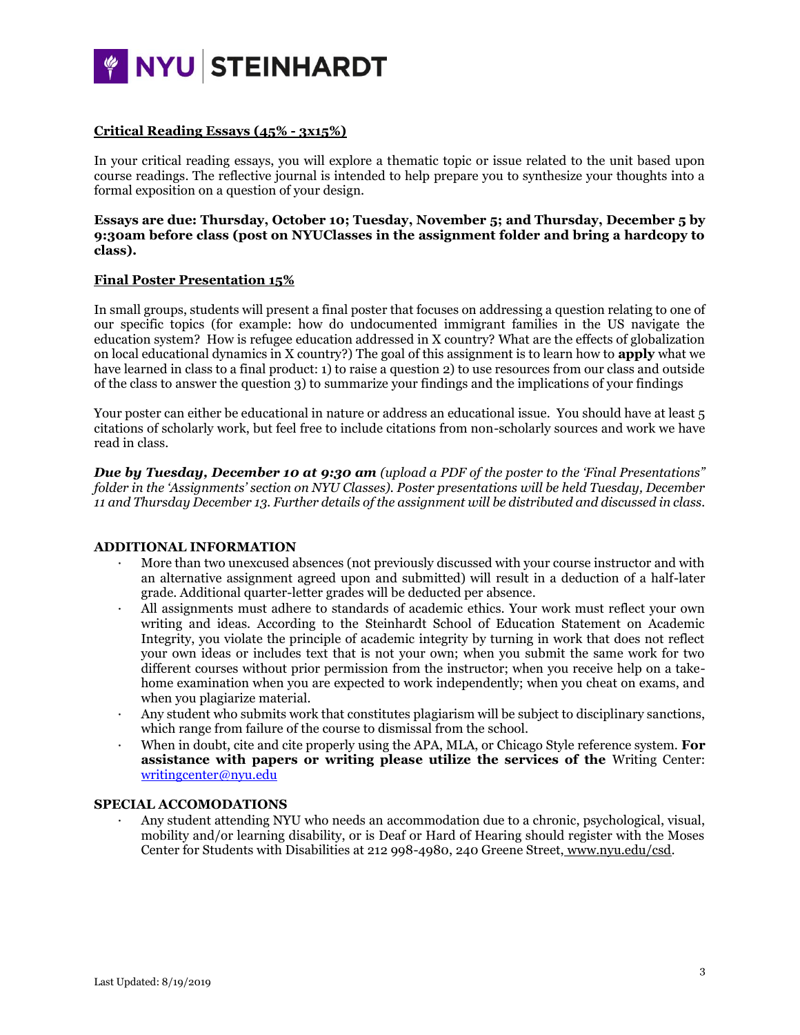

# **Critical Reading Essays (45% - 3x15%)**

In your critical reading essays, you will explore a thematic topic or issue related to the unit based upon course readings. The reflective journal is intended to help prepare you to synthesize your thoughts into a formal exposition on a question of your design.

# **Essays are due: Thursday, October 10; Tuesday, November 5; and Thursday, December 5 by 9:30am before class (post on NYUClasses in the assignment folder and bring a hardcopy to class).**

# **Final Poster Presentation 15%**

In small groups, students will present a final poster that focuses on addressing a question relating to one of our specific topics (for example: how do undocumented immigrant families in the US navigate the education system? How is refugee education addressed in X country? What are the effects of globalization on local educational dynamics in X country?) The goal of this assignment is to learn how to **apply** what we have learned in class to a final product: 1) to raise a question 2) to use resources from our class and outside of the class to answer the question 3) to summarize your findings and the implications of your findings

Your poster can either be educational in nature or address an educational issue. You should have at least 5 citations of scholarly work, but feel free to include citations from non-scholarly sources and work we have read in class.

*Due by Tuesday, December 10 at 9:30 am (upload a PDF of the poster to the 'Final Presentations" folder in the 'Assignments' section on NYU Classes). Poster presentations will be held Tuesday, December 11 and Thursday December 13. Further details of the assignment will be distributed and discussed in class.*

#### **ADDITIONAL INFORMATION**

- · More than two unexcused absences (not previously discussed with your course instructor and with an alternative assignment agreed upon and submitted) will result in a deduction of a half-later grade. Additional quarter-letter grades will be deducted per absence.
- · All assignments must adhere to standards of academic ethics. Your work must reflect your own writing and ideas. According to the Steinhardt School of Education Statement on Academic Integrity, you violate the principle of academic integrity by turning in work that does not reflect your own ideas or includes text that is not your own; when you submit the same work for two different courses without prior permission from the instructor; when you receive help on a takehome examination when you are expected to work independently; when you cheat on exams, and when you plagiarize material.
- · Any student who submits work that constitutes plagiarism will be subject to disciplinary sanctions, which range from failure of the course to dismissal from the school.
- When in doubt, cite and cite properly using the APA, MLA, or Chicago Style reference system. **For assistance with papers or writing please utilize the services of the** Writing Center: [writingcenter@nyu.edu](mailto:writingcenter@nyu.edu)

## **SPECIAL ACCOMODATIONS**

· Any student attending NYU who needs an accommodation due to a chronic, psychological, visual, mobility and/or learning disability, or is Deaf or Hard of Hearing should register with the Moses Center for Students with Disabilities at 212 998-4980, 240 Greene Street, [www.nyu.edu/csd.](http://www.nyu.edu/csd)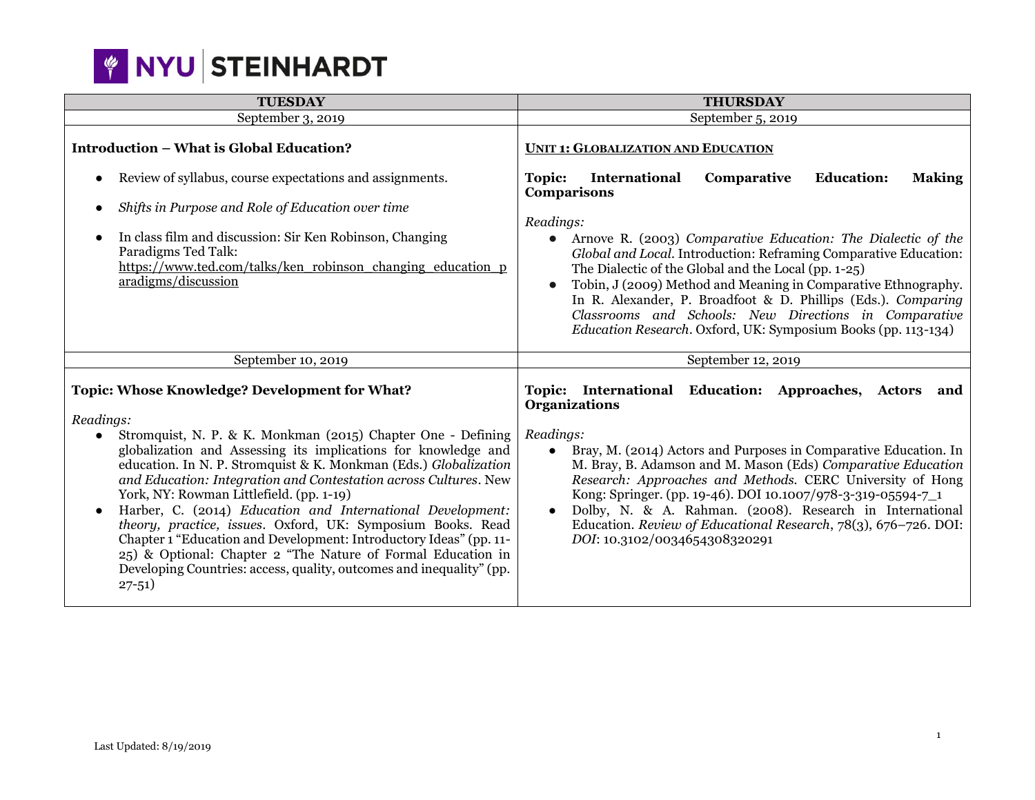

| <b>TUESDAY</b>                                                                                                                                                                                                                                                                                                                                                                                                                                                                                                                                                                                                                                                                                                                                               | <b>THURSDAY</b>                                                                                                                                                                                                                                                                                                                                                                                                                                                                                                                                                                       |
|--------------------------------------------------------------------------------------------------------------------------------------------------------------------------------------------------------------------------------------------------------------------------------------------------------------------------------------------------------------------------------------------------------------------------------------------------------------------------------------------------------------------------------------------------------------------------------------------------------------------------------------------------------------------------------------------------------------------------------------------------------------|---------------------------------------------------------------------------------------------------------------------------------------------------------------------------------------------------------------------------------------------------------------------------------------------------------------------------------------------------------------------------------------------------------------------------------------------------------------------------------------------------------------------------------------------------------------------------------------|
| September 3, 2019                                                                                                                                                                                                                                                                                                                                                                                                                                                                                                                                                                                                                                                                                                                                            | September 5, 2019                                                                                                                                                                                                                                                                                                                                                                                                                                                                                                                                                                     |
| <b>Introduction - What is Global Education?</b>                                                                                                                                                                                                                                                                                                                                                                                                                                                                                                                                                                                                                                                                                                              | <b>UNIT 1: GLOBALIZATION AND EDUCATION</b>                                                                                                                                                                                                                                                                                                                                                                                                                                                                                                                                            |
| Review of syllabus, course expectations and assignments.<br>Shifts in Purpose and Role of Education over time<br>In class film and discussion: Sir Ken Robinson, Changing<br>$\bullet$<br>Paradigms Ted Talk:<br>https://www.ted.com/talks/ken robinson changing education p<br>aradigms/discussion                                                                                                                                                                                                                                                                                                                                                                                                                                                          | International<br><b>Education:</b><br><b>Making</b><br>Comparative<br><b>Topic:</b><br>Comparisons<br>Readings:<br>Arnove R. (2003) Comparative Education: The Dialectic of the<br>$\bullet$<br>Global and Local. Introduction: Reframing Comparative Education:<br>The Dialectic of the Global and the Local (pp. 1-25)<br>Tobin, J (2009) Method and Meaning in Comparative Ethnography.<br>In R. Alexander, P. Broadfoot & D. Phillips (Eds.). Comparing<br>Classrooms and Schools: New Directions in Comparative<br>Education Research. Oxford, UK: Symposium Books (pp. 113-134) |
| September 10, 2019                                                                                                                                                                                                                                                                                                                                                                                                                                                                                                                                                                                                                                                                                                                                           | September 12, 2019                                                                                                                                                                                                                                                                                                                                                                                                                                                                                                                                                                    |
| <b>Topic: Whose Knowledge? Development for What?</b><br>Readings:<br>Stromquist, N. P. & K. Monkman (2015) Chapter One - Defining<br>globalization and Assessing its implications for knowledge and<br>education. In N. P. Stromquist & K. Monkman (Eds.) Globalization<br>and Education: Integration and Contestation across Cultures. New<br>York, NY: Rowman Littlefield. (pp. 1-19)<br>Harber, C. (2014) Education and International Development:<br>$\bullet$<br>theory, practice, issues. Oxford, UK: Symposium Books. Read<br>Chapter 1 "Education and Development: Introductory Ideas" (pp. 11-<br>25) & Optional: Chapter 2 "The Nature of Formal Education in<br>Developing Countries: access, quality, outcomes and inequality" (pp.<br>$27 - 51$ | Topic: International Education: Approaches, Actors and<br><b>Organizations</b><br>Readings:<br>Bray, M. (2014) Actors and Purposes in Comparative Education. In<br>$\bullet$<br>M. Bray, B. Adamson and M. Mason (Eds) Comparative Education<br>Research: Approaches and Methods. CERC University of Hong<br>Kong: Springer. (pp. 19-46). DOI 10.1007/978-3-319-05594-7_1<br>Dolby, N. & A. Rahman. (2008). Research in International<br>$\bullet$<br>Education. Review of Educational Research, 78(3), 676-726. DOI:<br>DOI: 10.3102/0034654308320291                                |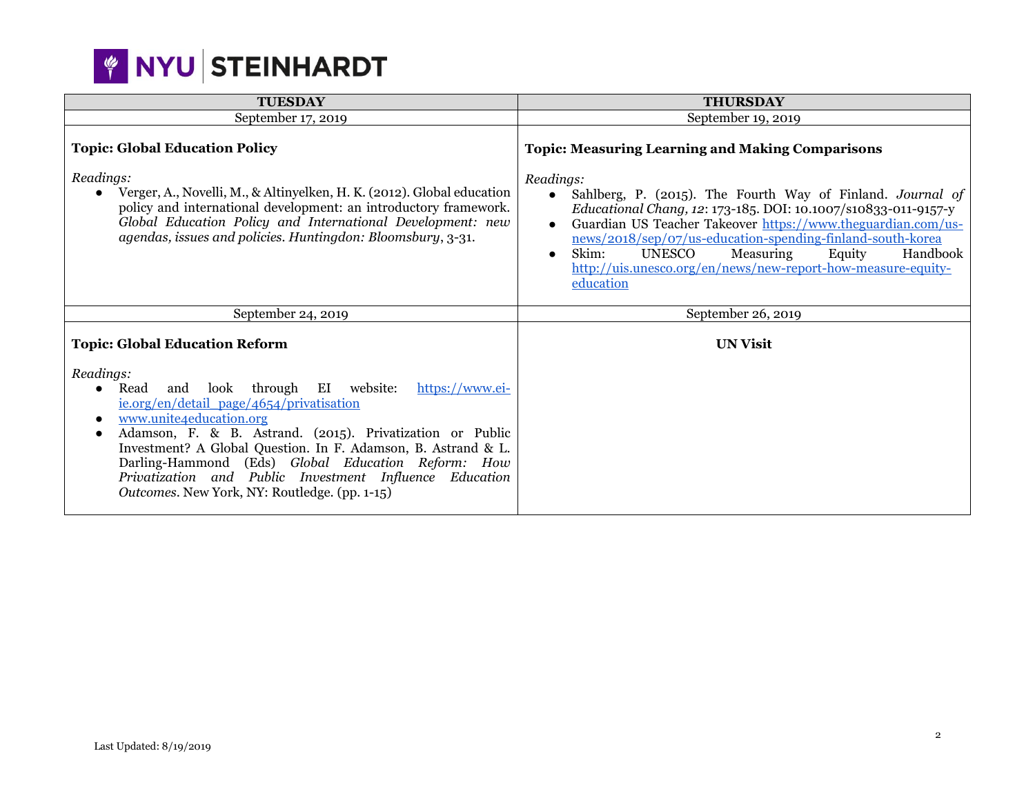# **WINYU STEINHARDT**

| <b>TUESDAY</b>                                                                                                                                                                                                                                                                                                                                                                                                                              | <b>THURSDAY</b>                                                                                                                                                                                                                                                                                                                                                                                                                                                                                 |
|---------------------------------------------------------------------------------------------------------------------------------------------------------------------------------------------------------------------------------------------------------------------------------------------------------------------------------------------------------------------------------------------------------------------------------------------|-------------------------------------------------------------------------------------------------------------------------------------------------------------------------------------------------------------------------------------------------------------------------------------------------------------------------------------------------------------------------------------------------------------------------------------------------------------------------------------------------|
| September 17, 2019                                                                                                                                                                                                                                                                                                                                                                                                                          | September 19, 2019                                                                                                                                                                                                                                                                                                                                                                                                                                                                              |
| <b>Topic: Global Education Policy</b><br>Readings:<br>Verger, A., Novelli, M., & Altinyelken, H. K. (2012). Global education<br>$\bullet$<br>policy and international development: an introductory framework.<br>Global Education Policy and International Development: new<br>agendas, issues and policies. Huntingdon: Bloomsbury, 3-31.                                                                                                  | <b>Topic: Measuring Learning and Making Comparisons</b><br>Readings:<br>Sahlberg, P. (2015). The Fourth Way of Finland. Journal of<br>$\bullet$<br>Educational Chang, 12: 173-185. DOI: 10.1007/s10833-011-9157-y<br>Guardian US Teacher Takeover https://www.theguardian.com/us-<br>news/2018/sep/07/us-education-spending-finland-south-korea<br>Skim:<br>Measuring<br>UNESCO<br>Equity<br>Handbook<br>$\bullet$<br>http://uis.unesco.org/en/news/new-report-how-measure-equity-<br>education |
| September 24, 2019                                                                                                                                                                                                                                                                                                                                                                                                                          | September 26, 2019                                                                                                                                                                                                                                                                                                                                                                                                                                                                              |
| <b>Topic: Global Education Reform</b>                                                                                                                                                                                                                                                                                                                                                                                                       | <b>UN Visit</b>                                                                                                                                                                                                                                                                                                                                                                                                                                                                                 |
| Readings:<br>and look through EI website:<br>https://www.ei-<br>Read<br>ie.org/en/detail_page/4654/privatisation<br>www.unite4education.org<br>Adamson, F. & B. Astrand. (2015). Privatization or Public<br>Investment? A Global Question. In F. Adamson, B. Astrand & L.<br>Darling-Hammond (Eds) Global Education Reform: How<br>Privatization and Public Investment Influence Education<br>Outcomes. New York, NY: Routledge. (pp. 1-15) |                                                                                                                                                                                                                                                                                                                                                                                                                                                                                                 |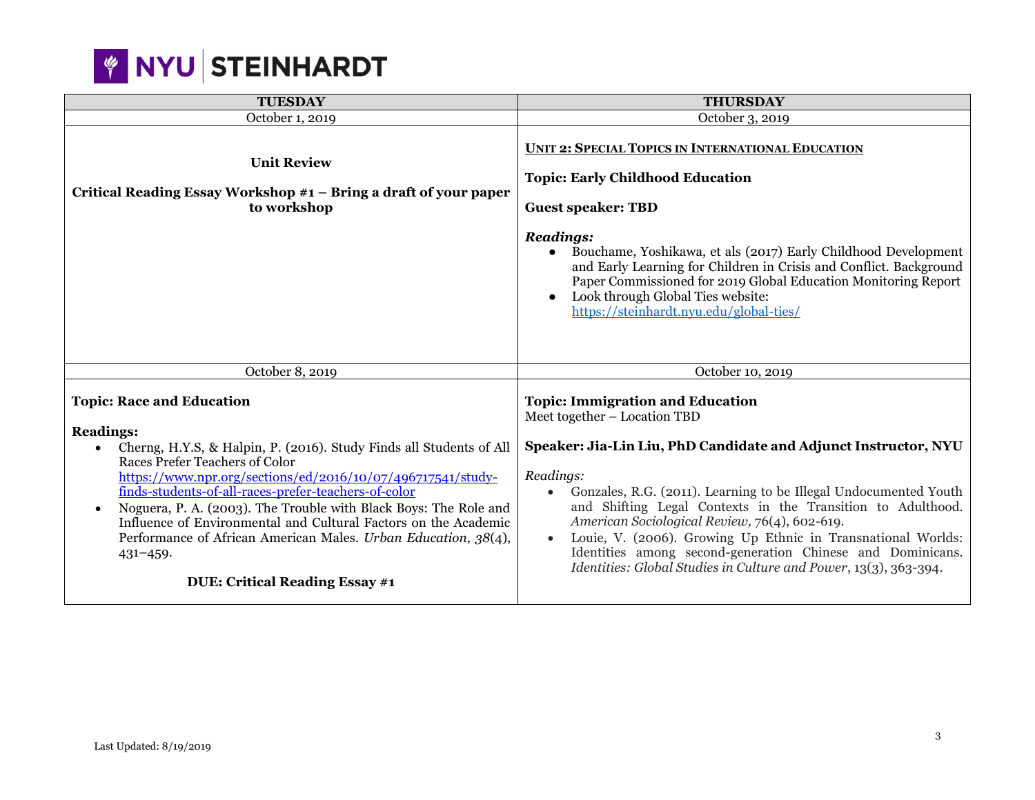

| <b>TUESDAY</b>                                                                                                                                                                                                                                                                                                                                                                                                                                                                                                                                     | <b>THURSDAY</b>                                                                                                                                                                                                                                                                                                                                                                                                                                                                                                                                            |
|----------------------------------------------------------------------------------------------------------------------------------------------------------------------------------------------------------------------------------------------------------------------------------------------------------------------------------------------------------------------------------------------------------------------------------------------------------------------------------------------------------------------------------------------------|------------------------------------------------------------------------------------------------------------------------------------------------------------------------------------------------------------------------------------------------------------------------------------------------------------------------------------------------------------------------------------------------------------------------------------------------------------------------------------------------------------------------------------------------------------|
| October 1, 2019                                                                                                                                                                                                                                                                                                                                                                                                                                                                                                                                    | October 3, 2019                                                                                                                                                                                                                                                                                                                                                                                                                                                                                                                                            |
| <b>Unit Review</b><br>Critical Reading Essay Workshop #1 – Bring a draft of your paper<br>to workshop                                                                                                                                                                                                                                                                                                                                                                                                                                              | UNIT 2: SPECIAL TOPICS IN INTERNATIONAL EDUCATION<br><b>Topic: Early Childhood Education</b><br><b>Guest speaker: TBD</b><br><b>Readings:</b><br>Bouchame, Yoshikawa, et als (2017) Early Childhood Development<br>$\bullet$<br>and Early Learning for Children in Crisis and Conflict. Background<br>Paper Commissioned for 2019 Global Education Monitoring Report<br>Look through Global Ties website:<br>https://steinhardt.nyu.edu/global-ties/                                                                                                       |
| October 8, 2019                                                                                                                                                                                                                                                                                                                                                                                                                                                                                                                                    | October 10, 2019                                                                                                                                                                                                                                                                                                                                                                                                                                                                                                                                           |
| <b>Topic: Race and Education</b><br><b>Readings:</b><br>Cherng, H.Y.S, & Halpin, P. (2016). Study Finds all Students of All<br>Races Prefer Teachers of Color<br>https://www.npr.org/sections/ed/2016/10/07/496717541/study-<br>finds-students-of-all-races-prefer-teachers-of-color<br>Noguera, P. A. (2003). The Trouble with Black Boys: The Role and<br>Influence of Environmental and Cultural Factors on the Academic<br>Performance of African American Males. Urban Education, 38(4),<br>431-459.<br><b>DUE: Critical Reading Essay #1</b> | <b>Topic: Immigration and Education</b><br>Meet together – Location TBD<br>Speaker: Jia-Lin Liu, PhD Candidate and Adjunct Instructor, NYU<br>Readings:<br>Gonzales, R.G. (2011). Learning to be Illegal Undocumented Youth<br>$\bullet$<br>and Shifting Legal Contexts in the Transition to Adulthood.<br>American Sociological Review, 76(4), 602-619.<br>Louie, V. (2006). Growing Up Ethnic in Transnational Worlds:<br>Identities among second-generation Chinese and Dominicans.<br>Identities: Global Studies in Culture and Power, 13(3), 363-394. |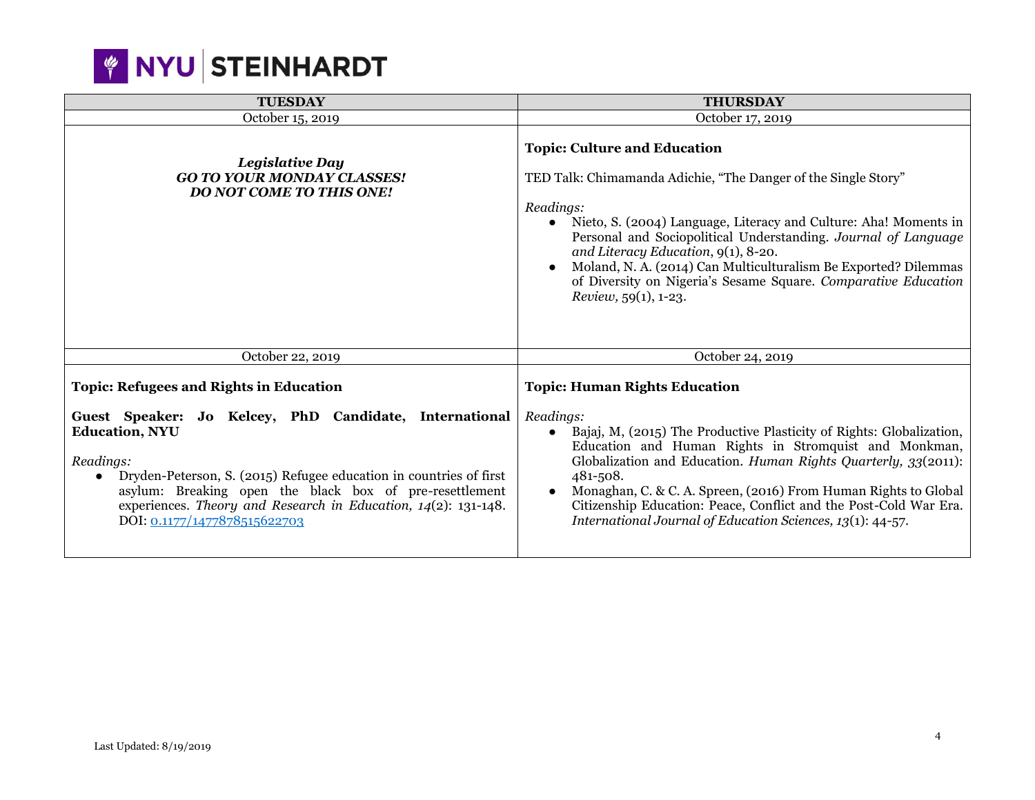|  |  | <b>WINYU STEINHARDT</b> |
|--|--|-------------------------|
|--|--|-------------------------|

| <b>TUESDAY</b>                                                                                                                                                                                                                                                                                                                                                                       | <b>THURSDAY</b>                                                                                                                                                                                                                                                                                                                                                                                                                                                                     |
|--------------------------------------------------------------------------------------------------------------------------------------------------------------------------------------------------------------------------------------------------------------------------------------------------------------------------------------------------------------------------------------|-------------------------------------------------------------------------------------------------------------------------------------------------------------------------------------------------------------------------------------------------------------------------------------------------------------------------------------------------------------------------------------------------------------------------------------------------------------------------------------|
| October 15, 2019                                                                                                                                                                                                                                                                                                                                                                     | October 17, 2019                                                                                                                                                                                                                                                                                                                                                                                                                                                                    |
| <b>Legislative Day</b><br><b>GO TO YOUR MONDAY CLASSES!</b><br><b>DO NOT COME TO THIS ONE!</b>                                                                                                                                                                                                                                                                                       | <b>Topic: Culture and Education</b><br>TED Talk: Chimamanda Adichie, "The Danger of the Single Story"<br>Readings:<br>Nieto, S. (2004) Language, Literacy and Culture: Aha! Moments in<br>Personal and Sociopolitical Understanding. Journal of Language<br>and Literacy Education, 9(1), 8-20.<br>Moland, N. A. (2014) Can Multiculturalism Be Exported? Dilemmas<br>of Diversity on Nigeria's Sesame Square. Comparative Education<br>Review, 59(1), 1-23.                        |
| October 22, 2019                                                                                                                                                                                                                                                                                                                                                                     | October 24, 2019                                                                                                                                                                                                                                                                                                                                                                                                                                                                    |
| <b>Topic: Refugees and Rights in Education</b><br>Guest Speaker: Jo Kelcey, PhD Candidate, International<br><b>Education, NYU</b><br>Readings:<br>Dryden-Peterson, S. (2015) Refugee education in countries of first<br>asylum: Breaking open the black box of pre-resettlement<br>experiences. Theory and Research in Education, $14(2)$ : 131-148.<br>DOI: 0.1177/1477878515622703 | <b>Topic: Human Rights Education</b><br>Readings:<br>Bajaj, M, (2015) The Productive Plasticity of Rights: Globalization,<br>Education and Human Rights in Stromquist and Monkman,<br>Globalization and Education. Human Rights Quarterly, 33(2011):<br>481-508.<br>Monaghan, C. & C. A. Spreen, (2016) From Human Rights to Global<br>$\bullet$<br>Citizenship Education: Peace, Conflict and the Post-Cold War Era.<br>International Journal of Education Sciences, 13(1): 44-57. |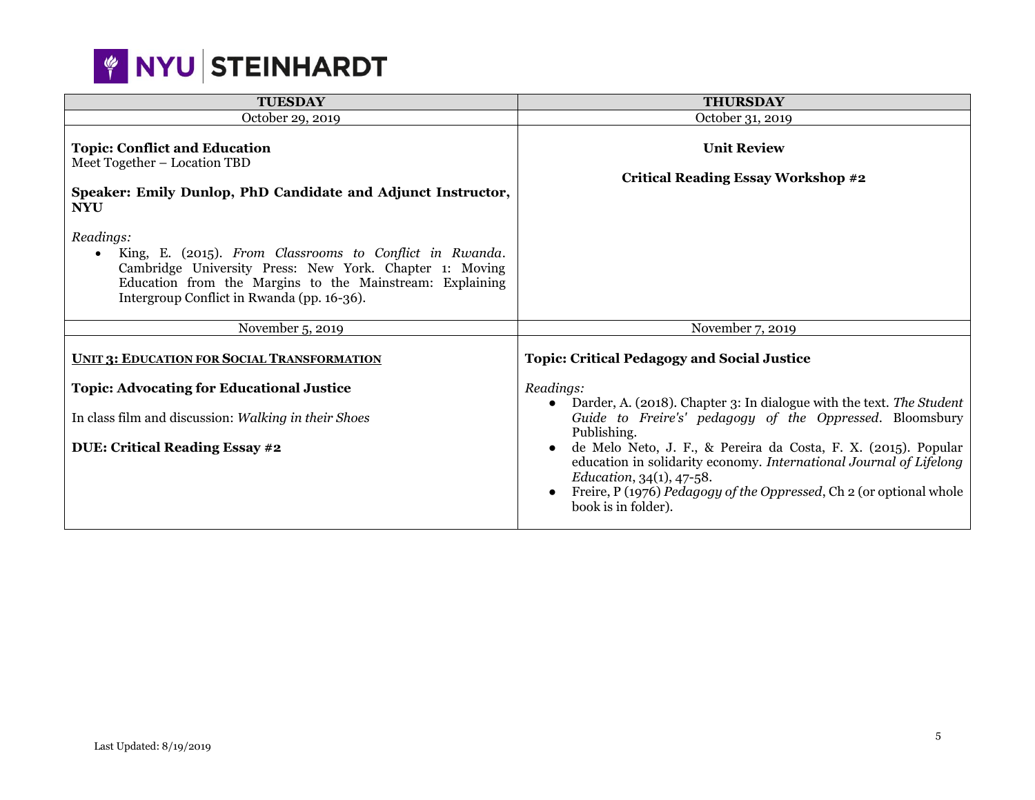

| <b>TUESDAY</b>                                                                                                                                                                                                                                         | <b>THURSDAY</b>                                                                                                                                                                                                                                                                                                                                                                                                                      |
|--------------------------------------------------------------------------------------------------------------------------------------------------------------------------------------------------------------------------------------------------------|--------------------------------------------------------------------------------------------------------------------------------------------------------------------------------------------------------------------------------------------------------------------------------------------------------------------------------------------------------------------------------------------------------------------------------------|
| October 29, 2019                                                                                                                                                                                                                                       | October 31, 2019                                                                                                                                                                                                                                                                                                                                                                                                                     |
| <b>Topic: Conflict and Education</b><br>Meet Together - Location TBD<br>Speaker: Emily Dunlop, PhD Candidate and Adjunct Instructor,<br><b>NYU</b>                                                                                                     | <b>Unit Review</b><br><b>Critical Reading Essay Workshop #2</b>                                                                                                                                                                                                                                                                                                                                                                      |
| Readings:<br>King, E. (2015). From Classrooms to Conflict in Rwanda.<br>$\bullet$<br>Cambridge University Press: New York. Chapter 1: Moving<br>Education from the Margins to the Mainstream: Explaining<br>Intergroup Conflict in Rwanda (pp. 16-36). |                                                                                                                                                                                                                                                                                                                                                                                                                                      |
| November 5, 2019                                                                                                                                                                                                                                       | November 7, 2019                                                                                                                                                                                                                                                                                                                                                                                                                     |
| <b>UNIT 3: EDUCATION FOR SOCIAL TRANSFORMATION</b>                                                                                                                                                                                                     | <b>Topic: Critical Pedagogy and Social Justice</b>                                                                                                                                                                                                                                                                                                                                                                                   |
| <b>Topic: Advocating for Educational Justice</b>                                                                                                                                                                                                       | Readings:                                                                                                                                                                                                                                                                                                                                                                                                                            |
| In class film and discussion: Walking in their Shoes<br><b>DUE: Critical Reading Essay #2</b>                                                                                                                                                          | Darder, A. (2018). Chapter 3: In dialogue with the text. The Student<br>$\bullet$<br>Guide to Freire's' pedagogy of the Oppressed. Bloomsbury<br>Publishing.<br>de Melo Neto, J. F., & Pereira da Costa, F. X. (2015). Popular<br>education in solidarity economy. International Journal of Lifelong<br>Education, $34(1)$ , $47-58$ .<br>Freire, P (1976) Pedagogy of the Oppressed, Ch 2 (or optional whole<br>book is in folder). |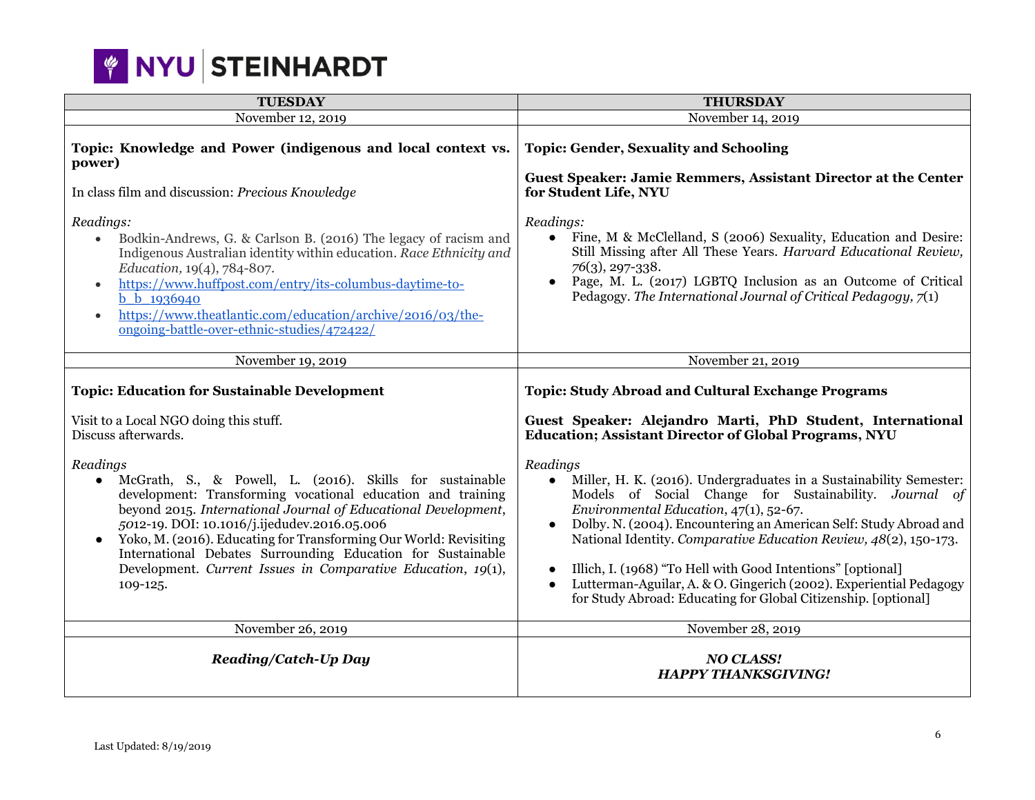

| <b>TUESDAY</b>                                                                                                                                                                                                                                                                                                                                                                                                                                                                     | <b>THURSDAY</b>                                                                                                                                                                                                                                                                                                                                                                                                                                                                                                                                 |
|------------------------------------------------------------------------------------------------------------------------------------------------------------------------------------------------------------------------------------------------------------------------------------------------------------------------------------------------------------------------------------------------------------------------------------------------------------------------------------|-------------------------------------------------------------------------------------------------------------------------------------------------------------------------------------------------------------------------------------------------------------------------------------------------------------------------------------------------------------------------------------------------------------------------------------------------------------------------------------------------------------------------------------------------|
| November 12, 2019                                                                                                                                                                                                                                                                                                                                                                                                                                                                  | November 14, 2019                                                                                                                                                                                                                                                                                                                                                                                                                                                                                                                               |
| Topic: Knowledge and Power (indigenous and local context vs.<br>power)<br>In class film and discussion: Precious Knowledge                                                                                                                                                                                                                                                                                                                                                         | <b>Topic: Gender, Sexuality and Schooling</b><br>Guest Speaker: Jamie Remmers, Assistant Director at the Center<br>for Student Life, NYU                                                                                                                                                                                                                                                                                                                                                                                                        |
| Readings:<br>Bodkin-Andrews, G. & Carlson B. (2016) The legacy of racism and<br>$\bullet$<br>Indigenous Australian identity within education. Race Ethnicity and<br>Education, 19(4), 784-807.<br>https://www.huffpost.com/entry/its-columbus-daytime-to-<br>$\bullet$<br>b b 1936940<br>https://www.theatlantic.com/education/archive/2016/03/the-<br>$\bullet$<br>ongoing-battle-over-ethnic-studies/472422/                                                                     | Readings:<br>Fine, M & McClelland, S (2006) Sexuality, Education and Desire:<br>$\bullet$<br>Still Missing after All These Years. Harvard Educational Review,<br>$76(3)$ , 297-338.<br>Page, M. L. (2017) LGBTQ Inclusion as an Outcome of Critical<br>Pedagogy. The International Journal of Critical Pedagogy, $7(1)$                                                                                                                                                                                                                         |
| November 19, 2019                                                                                                                                                                                                                                                                                                                                                                                                                                                                  | November 21, 2019                                                                                                                                                                                                                                                                                                                                                                                                                                                                                                                               |
| <b>Topic: Education for Sustainable Development</b><br>Visit to a Local NGO doing this stuff.                                                                                                                                                                                                                                                                                                                                                                                      | <b>Topic: Study Abroad and Cultural Exchange Programs</b><br>Guest Speaker: Alejandro Marti, PhD Student, International                                                                                                                                                                                                                                                                                                                                                                                                                         |
| Discuss afterwards.                                                                                                                                                                                                                                                                                                                                                                                                                                                                | <b>Education; Assistant Director of Global Programs, NYU</b>                                                                                                                                                                                                                                                                                                                                                                                                                                                                                    |
| Readings<br>McGrath, S., & Powell, L. (2016). Skills for sustainable<br>$\bullet$<br>development: Transforming vocational education and training<br>beyond 2015. International Journal of Educational Development,<br>5012-19. DOI: 10.1016/j.ijedudev.2016.05.006<br>Yoko, M. (2016). Educating for Transforming Our World: Revisiting<br>International Debates Surrounding Education for Sustainable<br>Development. Current Issues in Comparative Education, 19(1),<br>109-125. | Readings<br>Miller, H. K. (2016). Undergraduates in a Sustainability Semester:<br>$\bullet$<br>Models of Social Change for Sustainability. Journal of<br>Environmental Education, 47(1), 52-67.<br>Dolby. N. (2004). Encountering an American Self: Study Abroad and<br>National Identity. Comparative Education Review, 48(2), 150-173.<br>Illich, I. (1968) "To Hell with Good Intentions" [optional]<br>Lutterman-Aguilar, A. & O. Gingerich (2002). Experiential Pedagogy<br>for Study Abroad: Educating for Global Citizenship. [optional] |
| November 26, 2019                                                                                                                                                                                                                                                                                                                                                                                                                                                                  | November 28, 2019                                                                                                                                                                                                                                                                                                                                                                                                                                                                                                                               |
| <b>Reading/Catch-Up Day</b>                                                                                                                                                                                                                                                                                                                                                                                                                                                        | <b>NO CLASS!</b><br><b>HAPPY THANKSGIVING!</b>                                                                                                                                                                                                                                                                                                                                                                                                                                                                                                  |